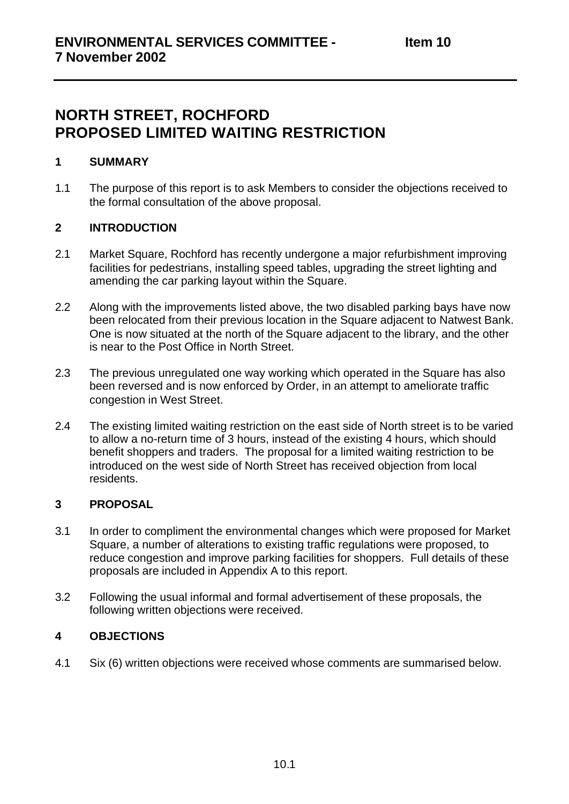# **NORTH STREET, ROCHFORD PROPOSED LIMITED WAITING RESTRICTION**

### **1 SUMMARY**

1.1 The purpose of this report is to ask Members to consider the objections received to the formal consultation of the above proposal.

### **2 INTRODUCTION**

- 2.1 Market Square, Rochford has recently undergone a major refurbishment improving facilities for pedestrians, installing speed tables, upgrading the street lighting and amending the car parking layout within the Square.
- 2.2 Along with the improvements listed above, the two disabled parking bays have now been relocated from their previous location in the Square adjacent to Natwest Bank. One is now situated at the north of the Square adjacent to the library, and the other is near to the Post Office in North Street.
- 2.3 The previous unregulated one way working which operated in the Square has also been reversed and is now enforced by Order, in an attempt to ameliorate traffic congestion in West Street.
- 2.4 The existing limited waiting restriction on the east side of North street is to be varied to allow a no-return time of 3 hours, instead of the existing 4 hours, which should benefit shoppers and traders. The proposal for a limited waiting restriction to be introduced on the west side of North Street has received objection from local residents.

### **3 PROPOSAL**

- 3.1 In order to compliment the environmental changes which were proposed for Market Square, a number of alterations to existing traffic regulations were proposed, to reduce congestion and improve parking facilities for shoppers. Full details of these proposals are included in Appendix A to this report.
- 3.2 Following the usual informal and formal advertisement of these proposals, the following written objections were received.

### **4 OBJECTIONS**

4.1 Six (6) written objections were received whose comments are summarised below.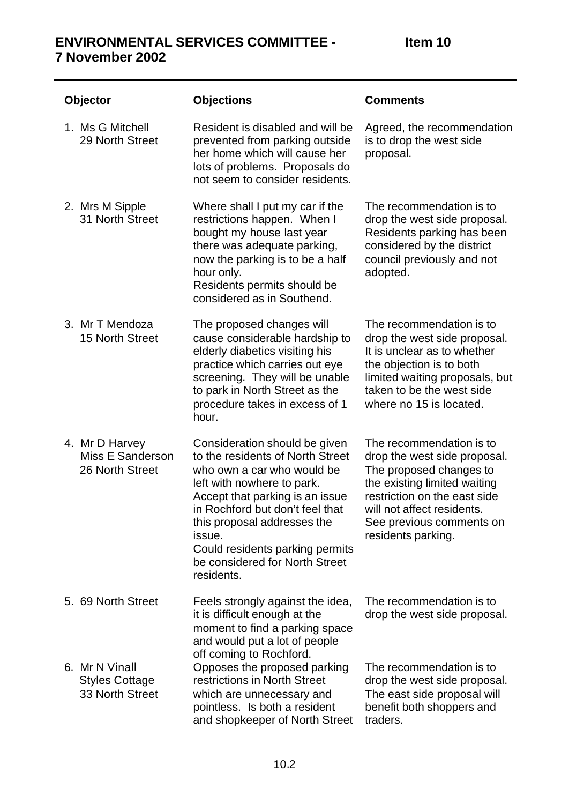| <b>Objector</b> |                                                              | <b>Objections</b>                                                                                                                                                                                                                                                                                                               | <b>Comments</b>                                                                                                                                                                                                                     |
|-----------------|--------------------------------------------------------------|---------------------------------------------------------------------------------------------------------------------------------------------------------------------------------------------------------------------------------------------------------------------------------------------------------------------------------|-------------------------------------------------------------------------------------------------------------------------------------------------------------------------------------------------------------------------------------|
|                 | 1. Ms G Mitchell<br>29 North Street                          | Resident is disabled and will be<br>prevented from parking outside<br>her home which will cause her<br>lots of problems. Proposals do<br>not seem to consider residents.                                                                                                                                                        | Agreed, the recommendation<br>is to drop the west side<br>proposal.                                                                                                                                                                 |
|                 | 2. Mrs M Sipple<br>31 North Street                           | Where shall I put my car if the<br>restrictions happen. When I<br>bought my house last year<br>there was adequate parking,<br>now the parking is to be a half<br>hour only.<br>Residents permits should be<br>considered as in Southend.                                                                                        | The recommendation is to<br>drop the west side proposal.<br>Residents parking has been<br>considered by the district<br>council previously and not<br>adopted.                                                                      |
|                 | 3. Mr T Mendoza<br>15 North Street                           | The proposed changes will<br>cause considerable hardship to<br>elderly diabetics visiting his<br>practice which carries out eye<br>screening. They will be unable<br>to park in North Street as the<br>procedure takes in excess of 1<br>hour.                                                                                  | The recommendation is to<br>drop the west side proposal.<br>It is unclear as to whether<br>the objection is to both<br>limited waiting proposals, but<br>taken to be the west side<br>where no 15 is located.                       |
|                 | 4. Mr D Harvey<br><b>Miss E Sanderson</b><br>26 North Street | Consideration should be given<br>to the residents of North Street<br>who own a car who would be<br>left with nowhere to park.<br>Accept that parking is an issue<br>in Rochford but don't feel that<br>this proposal addresses the<br>issue.<br>Could residents parking permits<br>be considered for North Street<br>residents. | The recommendation is to<br>drop the west side proposal.<br>The proposed changes to<br>the existing limited waiting<br>restriction on the east side<br>will not affect residents.<br>See previous comments on<br>residents parking. |
|                 | 5. 69 North Street                                           | Feels strongly against the idea,<br>it is difficult enough at the<br>moment to find a parking space<br>and would put a lot of people<br>off coming to Rochford.                                                                                                                                                                 | The recommendation is to<br>drop the west side proposal.                                                                                                                                                                            |
|                 | 6. Mr N Vinall<br><b>Styles Cottage</b><br>33 North Street   | Opposes the proposed parking<br>restrictions in North Street<br>which are unnecessary and<br>pointless. Is both a resident<br>and shopkeeper of North Street                                                                                                                                                                    | The recommendation is to<br>drop the west side proposal.<br>The east side proposal will<br>benefit both shoppers and<br>traders.                                                                                                    |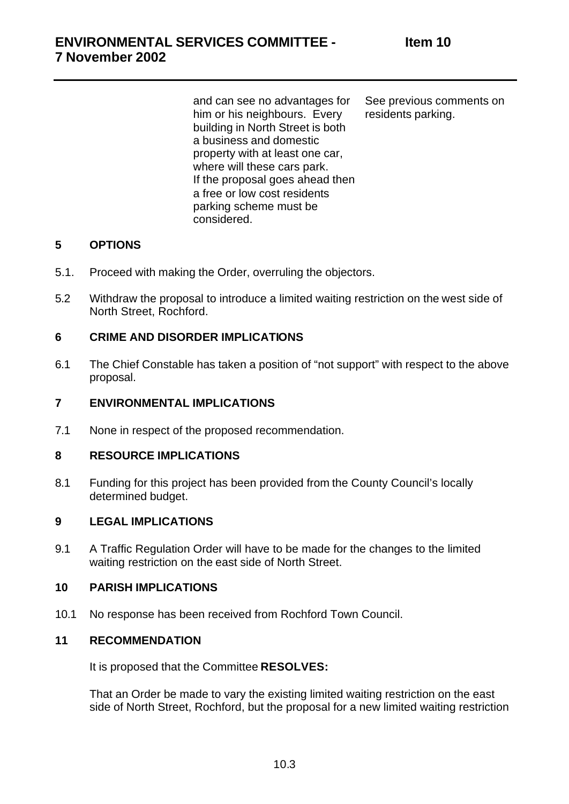and can see no advantages for him or his neighbours. Every building in North Street is both a business and domestic property with at least one car, where will these cars park. If the proposal goes ahead then a free or low cost residents parking scheme must be considered.

See previous comments on residents parking.

### **5 OPTIONS**

- 5.1. Proceed with making the Order, overruling the objectors.
- 5.2 Withdraw the proposal to introduce a limited waiting restriction on the west side of North Street, Rochford.

#### **6 CRIME AND DISORDER IMPLICATIONS**

6.1 The Chief Constable has taken a position of "not support" with respect to the above proposal.

#### **7 ENVIRONMENTAL IMPLICATIONS**

7.1 None in respect of the proposed recommendation.

#### **8 RESOURCE IMPLICATIONS**

8.1 Funding for this project has been provided from the County Council's locally determined budget.

#### **9 LEGAL IMPLICATIONS**

9.1 A Traffic Regulation Order will have to be made for the changes to the limited waiting restriction on the east side of North Street.

#### **10 PARISH IMPLICATIONS**

10.1 No response has been received from Rochford Town Council.

#### **11 RECOMMENDATION**

It is proposed that the Committee **RESOLVES:**

That an Order be made to vary the existing limited waiting restriction on the east side of North Street, Rochford, but the proposal for a new limited waiting restriction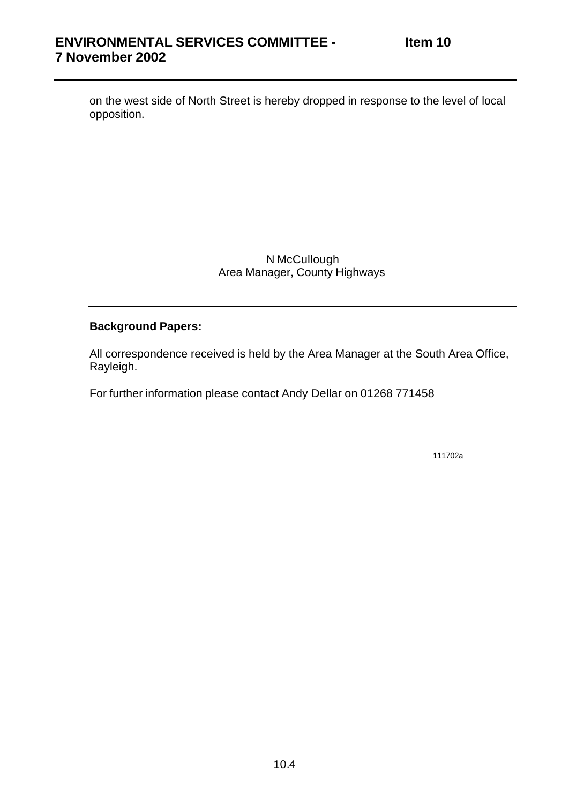on the west side of North Street is hereby dropped in response to the level of local opposition.

> N McCullough Area Manager, County Highways

#### **Background Papers:**

All correspondence received is held by the Area Manager at the South Area Office, Rayleigh.

For further information please contact Andy Dellar on 01268 771458

111702a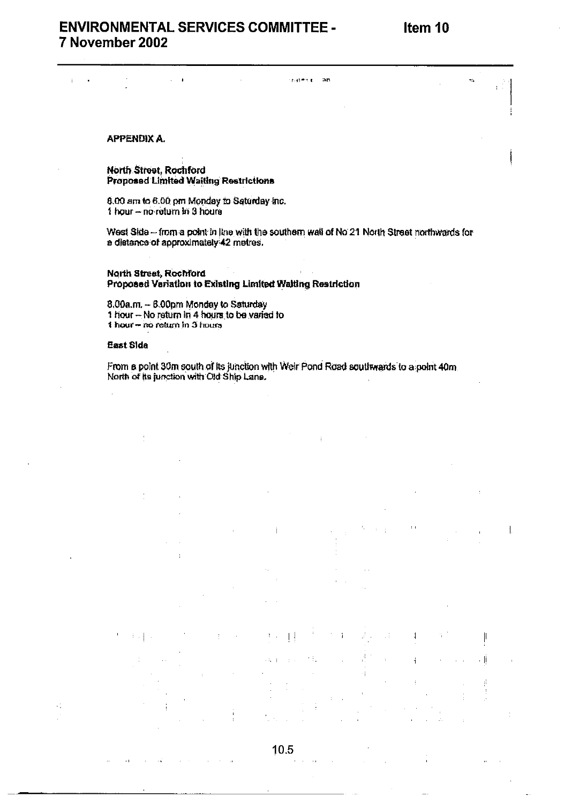$\mathbf{1}$ 

 $\parallel$ 

- Iİ

ğ

### **ENVIRONMENTAL SERVICES COMMITTEE -**7 November 2002

 $\lambda$ 

**APPENDIX A.** 

 $\mathbf{r}$ 

 $\ddot{\phantom{a}}$ 

North Street, Rochford Proposed Limited Waiting Restrictions

8.00 am to 6.00 pm Monday to Saturday inc. 1 hour - no return in 3 hours

West Side - from a point in line with the southern wall of No 21 North Street northwards for a distance of approximately 42 metres.

nates por

 $\overline{a}$ 

**North Street, Rochford** Proposed Variation to Existing Limited Walting Restriction

8.00a.m. - 6.00pm Monday to Saturday 1 hour - No return in 4 hours to be varied to 1 hour - no return in 3 hours

#### East Side

 $\cdot$ 

 $\sim$  1

From a point 30m south of its junction with Weir Pond Road southwards to a point 40m North of its junction with Old Ship Lane.

10.5

 $\ddot{\phantom{0}}$ 

 $\mathbb{L}$  $\sim$ 

 $\lambda \rightarrow 0$